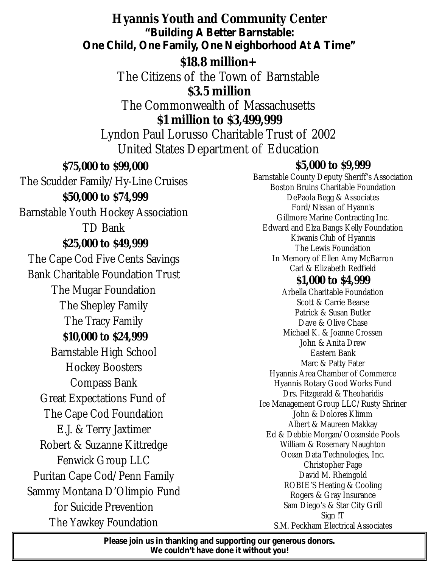## **Hyannis Youth and Community Center** *"Building A Better Barnstable: One Child, One Family, One Neighborhood At A Time"*

# **\$18.8 million+**

The Citizens of the Town of Barnstable

**\$3.5 million**

The Commonwealth of Massachusetts

**\$1 million to \$3,499,999**

Lyndon Paul Lorusso Charitable Trust of 2002 United States Department of Education

# **\$75,000 to \$99,000**

The Scudder Family/Hy-Line Cruises **\$50,000 to \$74,999**

Barnstable Youth Hockey Association TD Bank

### **\$25,000 to \$49,999**

The Cape Cod Five Cents Savings Bank Charitable Foundation Trust The Mugar Foundation The Shepley Family The Tracy Family **\$10,000 to \$24,999** Barnstable High School Hockey Boosters Compass Bank Great Expectations Fund of The Cape Cod Foundation E.J. & Terry Jaxtimer Robert & Suzanne Kittredge Fenwick Group LLC Puritan Cape Cod/Penn Family Sammy Montana D'Olimpio Fund for Suicide Prevention The Yawkey Foundation

### **\$5,000 to \$9,999**

Barnstable County Deputy Sheriff's Association Boston Bruins Charitable Foundation DePaola Begg & Associates Ford/Nissan of Hyannis Gillmore Marine Contracting Inc. Edward and Elza Bangs Kelly Foundation Kiwanis Club of Hyannis The Lewis Foundation In Memory of Ellen Amy McBarron Carl & Elizabeth Redfield

# **\$1,000 to \$4,999**

Arbella Charitable Foundation Scott & Carrie Bearse Patrick & Susan Butler Dave & Olive Chase Michael K. & Joanne Crossen John & Anita Drew Eastern Bank Marc & Patty Fater Hyannis Area Chamber of Commerce Hyannis Rotary Good Works Fund Drs. Fitzgerald & Theoharidis Ice Management Group LLC/Rusty Shriner John & Dolores Klimm Albert & Maureen Makkay Ed & Debbie Morgan/Oceanside Pools William & Rosemary Naughton Ocean Data Technologies, Inc. Christopher Page David M. Rheingold ROBIE'S Heating & Cooling Rogers & Gray Insurance Sam Diego's & Star City Grill Sign !T S.M. Peckham Electrical Associates

*Please join us in thanking and supporting our generous donors. We couldn't have done it without you!*